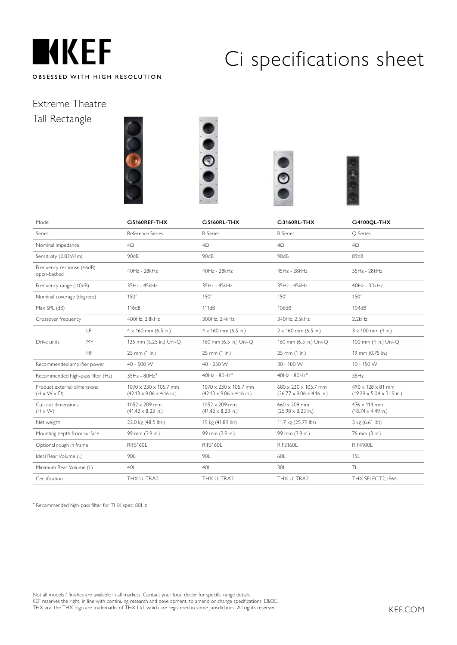

### Extreme Theatre Tall Rectangle









| Model                                                  |           | Ci5160REF-THX                                                                      | <b>Ci5160RL-THX</b>                                                                | <b>Ci3160RL-THX</b>                                                               | Ci4100QL-THX                                                                   |
|--------------------------------------------------------|-----------|------------------------------------------------------------------------------------|------------------------------------------------------------------------------------|-----------------------------------------------------------------------------------|--------------------------------------------------------------------------------|
| Series                                                 |           | Reference Series                                                                   | R Series                                                                           | R Series                                                                          | <b>Q</b> Series                                                                |
| Nominal impedance                                      |           | $4\Omega$                                                                          | $4\Omega$                                                                          | $4\Omega$                                                                         | $4\Omega$                                                                      |
| Sensitivity (2.83V/1m)                                 |           | 90dB                                                                               | 90dB                                                                               | 90dB                                                                              | 89dB                                                                           |
| Frequency response (±6dB)<br>open-backed               |           | 40Hz - 28kHz                                                                       | 40Hz - 28kHz                                                                       | 45Hz - 28kHz                                                                      | 55Hz - 28kHz                                                                   |
| Frequency range (-10dB)                                |           | 35Hz - 45kHz                                                                       | 35Hz - 45kHz                                                                       | 35Hz - 45kHz                                                                      | 40Hz - 30kHz                                                                   |
| Nominal coverage (degrees)                             |           | $150^\circ$                                                                        | $150^\circ$                                                                        | $150^\circ$                                                                       | $150^\circ$                                                                    |
| Max SPL (dB)                                           |           | 116dB                                                                              | 111dB                                                                              | 106dB                                                                             | 104dB                                                                          |
| Crossover frequency                                    |           | 400Hz, 2.8kHz                                                                      | 300Hz, 2.4kHz                                                                      | 340Hz, 2.5kHz                                                                     | 2.2kHz                                                                         |
|                                                        | LF        | $4 \times 160$ mm (6.5 in.)                                                        | $4 \times 160$ mm (6.5 in.)                                                        | $2 \times 160$ mm (6.5 in.)                                                       | $3 \times 100$ mm (4 in.)                                                      |
| Drive units                                            | MF        | 125 mm (5.25 in.) Uni-O                                                            | 160 mm (6.5 in.) Uni-O                                                             | 160 mm (6.5 in.) Uni-O                                                            | 100 mm (4 in.) Uni-O                                                           |
|                                                        | <b>HF</b> | 25 mm (1 in.)                                                                      | 25 mm (1 in.)                                                                      | 25 mm (1 in.)                                                                     | 19 mm (0.75 in.)                                                               |
| Recommended amplifier power                            |           | 40 - 500 W                                                                         | 40 - 250 W                                                                         | 30 - 180 W                                                                        | 10 - 150 W                                                                     |
| Recommended high-pass filter (Hz)                      |           | 35Hz - 80Hz*                                                                       | $40Hz - 80Hz^*$                                                                    | 40Hz - 80Hz*                                                                      | 55Hz                                                                           |
| Product external dimensions<br>$(H \times W \times D)$ |           | $1070 \times 230 \times 105.7$ mm<br>$(42.13 \times 9.06 \times 4.16 \text{ in.})$ | $1070 \times 230 \times 105.7$ mm<br>$(42.13 \times 9.06 \times 4.16 \text{ in.})$ | $680 \times 230 \times 105.7$ mm<br>$(26.77 \times 9.06 \times 4.16 \text{ in.})$ | $490 \times 128 \times 81$ mm<br>$(19.29 \times 5.04 \times 3.19 \text{ in.})$ |
| Cut-out dimensions<br>$(H \times W)$                   |           | $1052 \times 209$ mm<br>$(41.42 \times 8.23 \text{ in.})$                          | $1052 \times 209$ mm<br>$(41.42 \times 8.23 \text{ in.})$                          | $660 \times 209$ mm<br>$(25.98 \times 8.23 \text{ in.})$                          | $476 \times 114$ mm<br>$(18.74 \times 4.49 \text{ in.})$                       |
| Net weight                                             |           | 22.0 kg (48.5 lbs.)                                                                | 19 kg (41.89 lbs)                                                                  | 11.7 kg (25.79 lbs)                                                               | 3 kg (6.61 lbs)                                                                |
| Mounting depth from surface                            |           | 99 mm (3.9 in.)                                                                    | 99 mm (3.9 in.)                                                                    | 99 mm (3.9 in.)                                                                   | 76 mm (3 in.)                                                                  |
| Optional rough in frame                                |           | <b>RIF5160L</b>                                                                    | <b>RIF5160L</b>                                                                    | RIF3160L                                                                          | <b>RIF4100L</b>                                                                |
| Ideal Rear Volume (L)                                  |           | 90L                                                                                | 90L                                                                                | 60L                                                                               | 15L                                                                            |
| Minimum Rear Volume (L)                                |           | 40L                                                                                | 40L                                                                                | 30L                                                                               | 7L                                                                             |
| Certification                                          |           | THX ULTRA2                                                                         | THX ULTRA2                                                                         | THX ULTRA2                                                                        | THX SELECT2, IP64                                                              |

\* Recommended high-pass filter for THX spec: 80Hz

j

Not all models / finishes are available in all markets. Contact your local dealer for specific range details. KEF reserves the right, in line with continuing research and development, to amend or change specifications. E&OE. THX and the THX logo are trademarks of THX Ltd. which are registered in some jurisdictions. All rights reserved.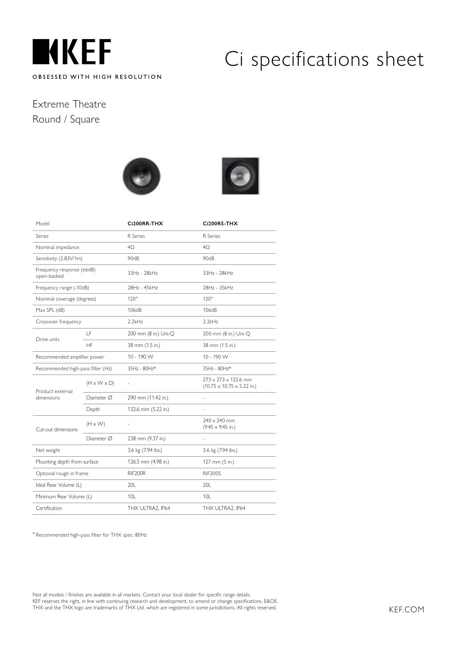

### Extreme Theatre Round / Square





| Model                                    |                         | Ci200RR-THX          | Ci200RS-THX                                                                        |
|------------------------------------------|-------------------------|----------------------|------------------------------------------------------------------------------------|
| Series                                   |                         | R Series             | R Series                                                                           |
| Nominal impedance                        |                         | 4O                   | 4O                                                                                 |
| Sensitivity (2.83V/1m)                   |                         | 90dB                 | 90dB                                                                               |
| Frequency response (±6dB)<br>open-backed |                         | 33Hz - 28kHz         | 33Hz - 28kHz                                                                       |
| Frequency range (-10dB)                  |                         | 28Hz - 45kHz         | 28Hz - 35kHz                                                                       |
| Nominal coverage (degrees)               |                         | $120^\circ$          | $120^\circ$                                                                        |
| Max SPL (dB)                             |                         | 106dB                | 106dB                                                                              |
| Crossover frequency                      |                         | 2.2kHz               | 2.2kHz                                                                             |
|                                          | LF                      | 200 mm (8 in.) Uni-Q | 200 mm (8 in.) Uni-Q                                                               |
| Drive units                              | HF                      | 38 mm (1.5 in.)      | 38 mm (1.5 in.)                                                                    |
| Recommended amplifier power              |                         | 10 - 190 W           | 10 - 190 W                                                                         |
| Recommended high-pass filter (Hz)        |                         | 35Hz - 80Hz*         | 35Hz - 80Hz*                                                                       |
| Product external                         | $(H \times W \times D)$ |                      | $273 \times 273 \times 132.6$ mm<br>$(10.75 \times 10.75 \times 5.22 \text{ in.})$ |
| dimensions                               | $Diameter \oslash$      | 290 mm (11.42 in.)   |                                                                                    |
|                                          | Depth                   | 132.6 mm (5.22 in.)  |                                                                                    |
| Cut-out dimensions                       | $(H \times W)$          | ÷,                   | $240 \times 240$ mm<br>$(9.45 \times 9.45 \text{ in.})$                            |
|                                          | Diameter $\varnothing$  | 238 mm (9.37 in.)    | L.                                                                                 |
| Net weight                               |                         | 3.6 kg (7.94 lbs.)   | 3.6 kg (7.94 lbs.)                                                                 |
| Mounting depth from surface              |                         | 126.5 mm (4.98 in.)  | 127 mm (5 in.)                                                                     |
| Optional rough in frame                  |                         | RIF200R              | <b>RIF200S</b>                                                                     |
| Ideal Rear Volume (L)                    |                         | 20L                  | 20L                                                                                |
| Minimum Rear Volume (L)                  |                         | 10L                  | 10 <sup>1</sup>                                                                    |
| Certification                            |                         | THX ULTRA2, IP64     | THX ULTRA2, IP64                                                                   |

\* Recommended high-pass filter for THX spec: 80Hz

Not all models / finishes are available in all markets. Contact your local dealer for specific range details. KEF reserves the right, in line with continuing research and development, to amend or change specifications. E&OE. THX and the THX logo are trademarks of THX Ltd. which are registered in some jurisdictions. All rights reserved.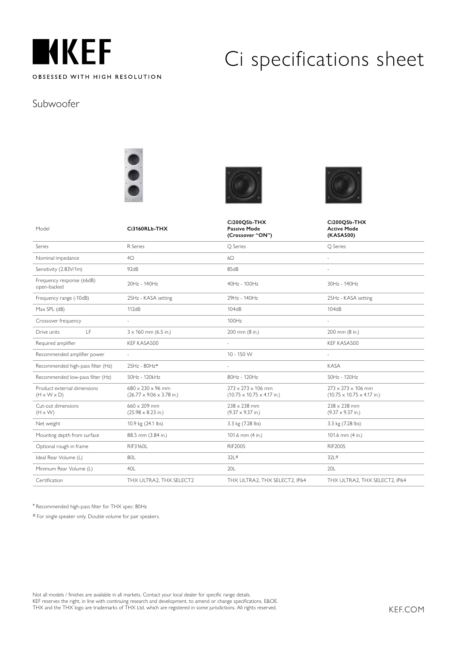

#### Subwoofer







|                                                        | Ci3160RLb-THX                                                          | Ci200QSb-THX<br><b>Passive Mode</b>                                              | Ci200QSb-THX<br><b>Active Mode</b>                                        |
|--------------------------------------------------------|------------------------------------------------------------------------|----------------------------------------------------------------------------------|---------------------------------------------------------------------------|
| Model                                                  |                                                                        | (Crossover "ON")                                                                 | (KASA500)                                                                 |
| Series                                                 | R Series                                                               | O Series                                                                         | O Series                                                                  |
| Nominal impedance                                      | $4\Omega$                                                              | $6\Omega$                                                                        | $\sim$                                                                    |
| Sensitivity (2.83V/1m)                                 | 92dB                                                                   | 85dB                                                                             |                                                                           |
| Frequency response (±6dB)<br>open-backed               | 20Hz - 140Hz                                                           | 40Hz - 100Hz                                                                     | 30Hz - 140Hz                                                              |
| Frequency range (-10dB)                                | 25Hz - KASA setting                                                    | 29Hz - 140Hz                                                                     | 25Hz - KASA setting                                                       |
| Max SPL (dB)                                           | 112dB                                                                  | 104dB                                                                            | 104dB                                                                     |
| Crossover frequency                                    | u,                                                                     | 100Hz                                                                            |                                                                           |
| LF<br>Drive units                                      | $3 \times 160$ mm (6.5 in.)                                            | 200 mm (8 in.)                                                                   | 200 mm (8 in.)                                                            |
| Required amplifier                                     | KEF KASA500                                                            |                                                                                  | KEF KASA500                                                               |
| Recommended amplifier power                            | u,                                                                     | 10 - 150 W                                                                       | $\sim$                                                                    |
| Recommended high-pass filter (Hz)                      | 25Hz - 80Hz*                                                           |                                                                                  | KASA                                                                      |
| Recommended low-pass filter (Hz)                       | 50Hz - 120kHz                                                          | 80Hz - 120Hz                                                                     | 50Hz - 120Hz                                                              |
| Product external dimensions<br>$(H \times W \times D)$ | $680 \times 230 \times 96$ mm<br>$(26.77 \times 9.06 \times 3.78$ in.) | $273 \times 273 \times 106$ mm<br>$(10.75 \times 10.75 \times 4.17 \text{ in.})$ | $273 \times 273 \times 106$ mm<br>$(10.75 \times 10.75 \times 4.17)$ in.) |
| Cut-out dimensions<br>$(H \times W)$                   | $660 \times 209$ mm<br>$(25.98 \times 8.23 \text{ in.})$               | $238 \times 238$ mm<br>$(9.37 \times 9.37 \text{ in.})$                          | $238 \times 238$ mm<br>$(9.37 \times 9.37 \text{ in.})$                   |
| Net weight                                             | 10.9 kg (24.1 lbs)                                                     | 3.3 kg (7.28 lbs)                                                                | 3.3 kg (7.28 lbs)                                                         |
| Mounting depth from surface                            | 88.5 mm (3.84 in.)                                                     | 101.6 mm (4 in.)                                                                 | 101.6 mm (4 in.)                                                          |
| Optional rough in frame                                | <b>RIF3160L</b>                                                        | <b>RIF200S</b>                                                                   | <b>RIF200S</b>                                                            |
| Ideal Rear Volume (L)                                  | 80L                                                                    | 32L#                                                                             | 321#                                                                      |
| Minimum Rear Volume (L)                                | 40L                                                                    | 20L                                                                              | 20L                                                                       |
| Certification                                          | THX ULTRA2, THX SELECT2                                                | THX ULTRA2, THX SELECT2, IP64                                                    | THX ULTRA2, THX SELECT2, IP64                                             |

\* Recommended high-pass filter for THX spec: 80Hz

# For single speaker only. Double volume for pair speakers.

Not all models / finishes are available in all markets. Contact your local dealer for specific range details. KEF reserves the right, in line with continuing research and development, to amend or change specifications. E&OE. THX and the THX logo are trademarks of THX Ltd. which are registered in some jurisdictions. All rights reserved.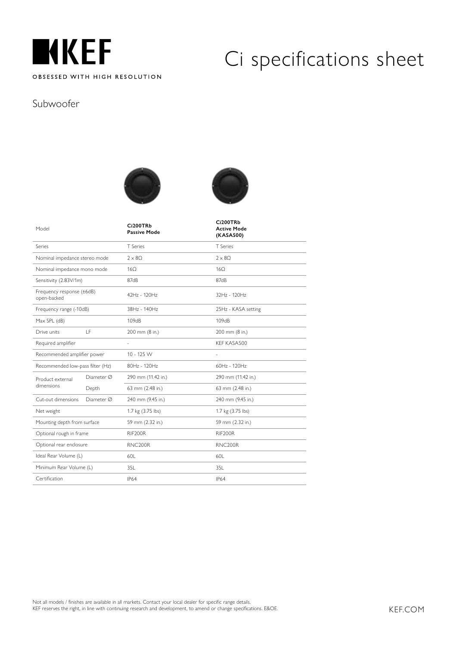

#### Subwoofer





| Model                                    |            | Ci200TRb<br><b>Passive Mode</b> | Ci200TRb<br><b>Active Mode</b><br>(KASA500) |
|------------------------------------------|------------|---------------------------------|---------------------------------------------|
| Series                                   |            | T Series                        | T Series                                    |
| Nominal impedance stereo mode            |            | $2 \times 8\Omega$              | $2 \times 80$                               |
| Nominal impedance mono mode              |            | $16\Omega$                      | $16\Omega$                                  |
| Sensitivity (2.83V/1m)                   |            | 87dB                            | 87dB                                        |
| Frequency response (±6dB)<br>open-backed |            | 42Hz - 120Hz                    | 32Hz - 120Hz                                |
| Frequency range (-10dB)                  |            | 38Hz - 140Hz                    | 25Hz - KASA setting                         |
| Max SPL (dB)                             |            | 109dB                           | 109dB                                       |
| Drive units                              | LF.        | 200 mm (8 in.)                  | 200 mm (8 in.)                              |
| Required amplifier                       |            | ä,                              | KEF KASA500                                 |
| Recommended amplifier power              |            | 10 - 125 W                      | $\frac{1}{2}$                               |
| Recommended low-pass filter (Hz)         |            | 80Hz - 120Hz                    | 60Hz - 120Hz                                |
| Product external                         | Diameter Ø | 290 mm (11.42 in.)              | 290 mm (11.42 in.)                          |
| dimensions                               | Depth      | 63 mm (2.48 in.)                | 63 mm (2.48 in.)                            |
| Cut-out dimensions                       | Diameter Ø | 240 mm (9.45 in.)               | 240 mm (9.45 in.)                           |
| Net weight                               |            | 1.7 kg (3.75 lbs)               | 1.7 kg (3.75 lbs)                           |
| Mounting depth from surface              |            | 59 mm (2.32 in.)                | 59 mm (2.32 in.)                            |
| Optional rough in frame                  |            | RIF200R                         | RIF200R                                     |
| Optional rear enclosure                  |            | RNC200R                         | RNC200R                                     |
| Ideal Rear Volume (L)                    |            | 60L                             | 60L                                         |
| Minimum Rear Volume (L)                  |            | 35L                             | 35L                                         |
| Certification                            |            | IP64                            | <b>IP64</b>                                 |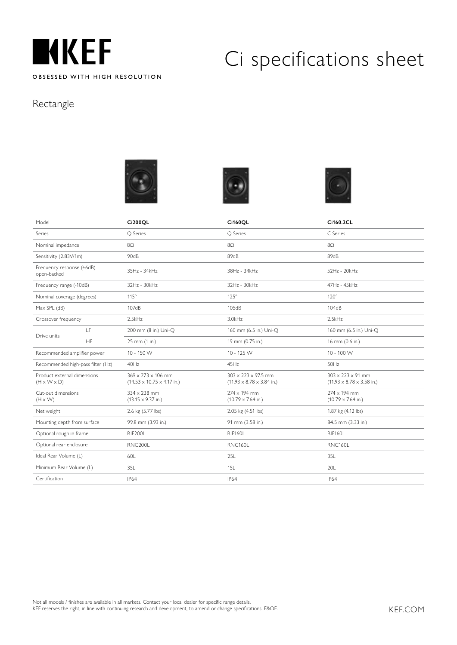

#### Rectangle







| Model                                                  |                                   | <b>Ci200QL</b>                                                                   | <b>Ci160QL</b>                                                                   | Ci160.2CL                                                              |
|--------------------------------------------------------|-----------------------------------|----------------------------------------------------------------------------------|----------------------------------------------------------------------------------|------------------------------------------------------------------------|
| Series                                                 |                                   | O Series                                                                         | O Series                                                                         | C Series                                                               |
| Nominal impedance                                      |                                   | $8\Omega$                                                                        | $8\Omega$                                                                        | $8\Omega$                                                              |
| Sensitivity (2.83V/1m)                                 |                                   | 90dB                                                                             | 89dB                                                                             | 89dB                                                                   |
| Frequency response (±6dB)<br>open-backed               |                                   | 35Hz - 34kHz                                                                     | 38Hz - 34kHz                                                                     | 52Hz - 20kHz                                                           |
| Frequency range (-10dB)                                |                                   | 32Hz - 30kHz                                                                     | 32Hz - 30kHz                                                                     | 47Hz - 45kHz                                                           |
| Nominal coverage (degrees)                             |                                   | $115^\circ$                                                                      | $125^\circ$                                                                      | $120^\circ$                                                            |
| Max SPL (dB)                                           |                                   | 107dB                                                                            | 105dB                                                                            | 104dB                                                                  |
| Crossover frequency                                    |                                   | 2.5kHz                                                                           | 3.0kHz                                                                           | 2.5kHz                                                                 |
| Drive units                                            | LF                                | 200 mm (8 in.) Uni-Q                                                             | 160 mm (6.5 in.) Uni-Q                                                           | 160 mm (6.5 in.) Uni-O                                                 |
|                                                        | HF                                | 25 mm (1 in.)                                                                    | 19 mm (0.75 in.)                                                                 | 16 mm (0.6 in.)                                                        |
| Recommended amplifier power                            |                                   | 10 - 150 W                                                                       | 10 - 125 W                                                                       | 10 - 100 W                                                             |
|                                                        | Recommended high-pass filter (Hz) | 40Hz                                                                             | 45Hz                                                                             | 50Hz                                                                   |
| Product external dimensions<br>$(H \times W \times D)$ |                                   | $369 \times 273 \times 106$ mm<br>$(14.53 \times 10.75 \times 4.17 \text{ in.})$ | $303 \times 223 \times 97.5$ mm<br>$(11.93 \times 8.78 \times 3.84 \text{ in.})$ | $303 \times 223 \times 91$ mm<br>$(11.93 \times 8.78 \times 3.58$ in.) |
| Cut-out dimensions<br>$(H \times W)$                   |                                   | $334 \times 238$ mm<br>$(13.15 \times 9.37 \text{ in.})$                         | $274 \times 194$ mm<br>$(10.79 \times 7.64 \text{ in.})$                         | 274 x 194 mm<br>$(10.79 \times 7.64 \text{ in.})$                      |
| Net weight                                             |                                   | 2.6 kg (5.77 lbs)                                                                | 2.05 kg (4.51 lbs)                                                               | 1.87 kg (4.12 lbs)                                                     |
| Mounting depth from surface                            |                                   | 99.8 mm (3.93 in.)                                                               | 91 mm (3.58 in.)                                                                 | 84.5 mm (3.33 in.)                                                     |
| Optional rough in frame                                |                                   | RIF200L                                                                          | RIF160L                                                                          | RIF160L                                                                |
| Optional rear enclosure                                |                                   | RNC200L                                                                          | <b>RNC160L</b>                                                                   | <b>RNC160L</b>                                                         |
| Ideal Rear Volume (L)                                  |                                   | 60L                                                                              | 25L                                                                              | 35L                                                                    |
| Minimum Rear Volume (L)                                |                                   | 35L                                                                              | 15L                                                                              | 20L                                                                    |
| Certification                                          |                                   | IP64                                                                             | <b>IP64</b>                                                                      | <b>IP64</b>                                                            |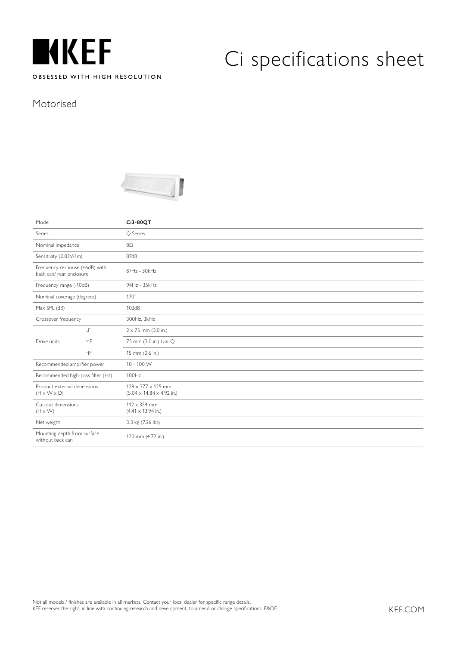

#### Motorised



| Model                                                      |           | Ci3-80QT                                                                 |
|------------------------------------------------------------|-----------|--------------------------------------------------------------------------|
| Series                                                     |           | O Series                                                                 |
| Nominal impedance                                          |           | $8\Omega$                                                                |
| Sensitivity (2.83V/1m)                                     |           | 87dB                                                                     |
| Frequency response (±6dB) with<br>back can/ rear enclosure |           | 87Hz - 30kHz                                                             |
| Frequency range (-10dB)                                    |           | 94Hz - 35kHz                                                             |
| Nominal coverage (degrees)                                 |           | $170^\circ$                                                              |
| $Max$ SPL (dB)                                             |           | 102dB                                                                    |
| Crossover frequency                                        |           | 300Hz, 3kHz                                                              |
|                                                            | LF        | $2 \times 75$ mm (3.0 in.)                                               |
| Drive units                                                | MF        | 75 mm (3.0 in.) Uni-Q                                                    |
|                                                            | <b>HF</b> | 15 mm (0.6 in.)                                                          |
| Recommended amplifier power                                |           | 10 - 100 W                                                               |
| Recommended high-pass filter (Hz)                          |           | 100Hz                                                                    |
| Product external dimensions<br>$(H \times W \times D)$     |           | $128 \times 377 \times 125$ mm<br>$(5.04 \times 14.84 \times 4.92)$ in.) |
| Cut-out dimensions<br>$(H \times W)$                       |           | $112 \times 354$ mm<br>$(4.41 \times 13.94 \text{ in.})$                 |
| Net weight                                                 |           | 3.3 kg (7.26 lbs)                                                        |
| Mounting depth from surface<br>without back can            |           | 120 mm (4.72 in.)                                                        |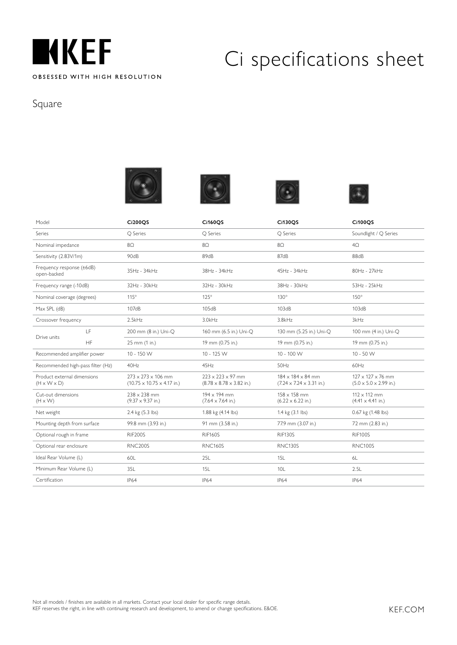

### Square









| Model                                                  |           | <b>Ci200OS</b>                                                                   | <b>Ci160OS</b>                                                                | <b>Ci130OS</b>                                                         | <b>Ci100OS</b>                                                       |
|--------------------------------------------------------|-----------|----------------------------------------------------------------------------------|-------------------------------------------------------------------------------|------------------------------------------------------------------------|----------------------------------------------------------------------|
| Series                                                 |           | O Series                                                                         | Q Series                                                                      | O Series                                                               | Soundlight / Q Series                                                |
| Nominal impedance                                      |           | $8\Omega$                                                                        | $8\Omega$                                                                     | $8\Omega$                                                              | $4\Omega$                                                            |
| Sensitivity (2.83V/1m)                                 |           | 90dB                                                                             | 89dB                                                                          | 87dB                                                                   | 88dB                                                                 |
| Frequency response (±6dB)<br>open-backed               |           | 35Hz - 34kHz                                                                     | 38Hz - 34kHz                                                                  | 45Hz - 34kHz                                                           | 80Hz - 27kHz                                                         |
| Frequency range (-10dB)                                |           | 32Hz - 30kHz                                                                     | 32Hz - 30kHz                                                                  | 38Hz - 30kHz                                                           | 53Hz - 25kHz                                                         |
| Nominal coverage (degrees)                             |           | $115^\circ$                                                                      | $125^\circ$                                                                   | $130^\circ$                                                            | $150^\circ$                                                          |
| Max SPL (dB)                                           |           | 107dB                                                                            | 105dB                                                                         | 103dB                                                                  | 103dB                                                                |
| Crossover frequency                                    |           | 2.5kHz                                                                           | 3.0kHz                                                                        | 3.8kHz                                                                 | 3kHz                                                                 |
|                                                        | LF        | 200 mm (8 in.) Uni-O                                                             | 160 mm (6.5 in.) Uni-O                                                        | 130 mm (5.25 in.) Uni-O                                                | 100 mm (4 in.) Uni-O                                                 |
| Drive units                                            | <b>HF</b> | 25 mm (1 in.)                                                                    | 19 mm (0.75 in.)                                                              | 19 mm (0.75 in.)                                                       | 19 mm (0.75 in.)                                                     |
| Recommended amplifier power                            |           | 10 - 150 W                                                                       | 10 - 125 W                                                                    | 10 - 100 W                                                             | $10 - 50 W$                                                          |
| Recommended high-pass filter (Hz)                      |           | 40Hz                                                                             | 45Hz                                                                          | 50Hz                                                                   | 60Hz                                                                 |
| Product external dimensions<br>$(H \times W \times D)$ |           | $273 \times 273 \times 106$ mm<br>$(10.75 \times 10.75 \times 4.17 \text{ in.})$ | $223 \times 223 \times 97$ mm<br>$(8.78 \times 8.78 \times 3.82 \text{ in.})$ | $184 \times 184 \times 84$ mm<br>$(7.24 \times 7.24 \times 3.31)$ in.) | $127 \times 127 \times 76$ mm<br>$(5.0 \times 5.0 \times 2.99)$ in.) |
| Cut-out dimensions<br>$(H \times W)$                   |           | $238 \times 238$ mm<br>$(9.37 \times 9.37 \text{ in.})$                          | 194 x 194 mm<br>$(7.64 \times 7.64 \text{ in.})$                              | $158 \times 158$ mm<br>$(6.22 \times 6.22 \text{ in.})$                | $112 \times 112$ mm<br>$(4.41 \times 4.41 \text{ in.})$              |
| Net weight                                             |           | 2.4 kg (5.3 lbs)                                                                 | 1.88 kg (4.14 lbs)                                                            | 1.4 kg (3.1 lbs)                                                       | 0.67 kg (1.48 lbs)                                                   |
| Mounting depth from surface                            |           | 99.8 mm (3.93 in.)                                                               | 91 mm (3.58 in.)                                                              | 77.9 mm (3.07 in.)                                                     | 72 mm (2.83 in.)                                                     |
| Optional rough in frame                                |           | <b>RIF200S</b>                                                                   | <b>RIF160S</b>                                                                | <b>RIF130S</b>                                                         | <b>RIF100S</b>                                                       |
| Optional rear enclosure                                |           | <b>RNC200S</b>                                                                   | <b>RNC160S</b>                                                                | <b>RNC130S</b>                                                         | <b>RNC100S</b>                                                       |
| Ideal Rear Volume (L)                                  |           | 60L                                                                              | 25L                                                                           | 15L                                                                    | 6L                                                                   |
| Minimum Rear Volume (L)                                |           | 35L                                                                              | 15L                                                                           | 10 <sub>L</sub>                                                        | 2.5L                                                                 |
| Certification                                          |           | <b>IP64</b>                                                                      | IP64                                                                          | <b>IP64</b>                                                            | <b>IP64</b>                                                          |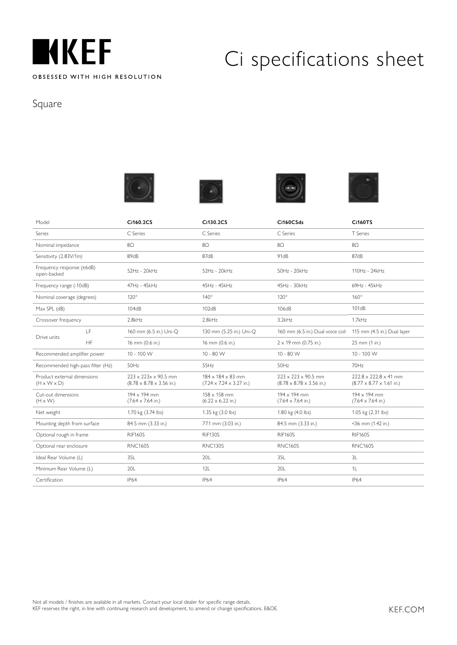

### Square









| Model                                                  |           | Ci160.2CS                                                               | Ci130.2CS                                                                     | Ci160CSds                                                               | <b>Ci160TS</b>                                                            |
|--------------------------------------------------------|-----------|-------------------------------------------------------------------------|-------------------------------------------------------------------------------|-------------------------------------------------------------------------|---------------------------------------------------------------------------|
| Series                                                 |           | C. Series                                                               | C Series                                                                      | C Series                                                                | T Series                                                                  |
| Nominal impedance                                      |           | $8\Omega$                                                               | 8Ω                                                                            | $8\Omega$                                                               | $8\Omega$                                                                 |
| Sensitivity (2.83V/1m)                                 |           | 89 <sub>dB</sub>                                                        | 87 <sub>dB</sub>                                                              | 91dB                                                                    | 87dB                                                                      |
| Frequency response (±6dB)<br>open-backed               |           | 52Hz - 20kHz                                                            | 52Hz - 20kHz                                                                  | $50Hz - 20kHz$                                                          | 110Hz - 24kHz                                                             |
| Frequency range (-10dB)                                |           | 47Hz - 45kHz                                                            | 45Hz - 45kHz                                                                  | 45Hz - 30kHz                                                            | 69Hz - 45kHz                                                              |
| Nominal coverage (degrees)                             |           | $120^\circ$                                                             | $140^\circ$                                                                   | $120^\circ$                                                             | $160^\circ$                                                               |
| Max SPL (dB)                                           |           | 104dB                                                                   | 102dB                                                                         | 106dB                                                                   | 101dB                                                                     |
| Crossover frequency                                    |           | 2.8kHz                                                                  | 2.8kHz                                                                        | 3.2kHz                                                                  | 1.7kHz                                                                    |
| Drive units                                            | LF        | 160 mm (6.5 in.) Uni-O                                                  | 130 mm (5.25 in.) Uni-O                                                       | 160 mm (6.5 in.) Dual voice coil                                        | 115 mm (4.5 in.) Dual layer                                               |
|                                                        | <b>HF</b> | 16 mm (0.6 in.)                                                         | 16 mm (0.6 in.)                                                               | $2 \times 19$ mm (0.75 in.)                                             | 25 mm (1 in.)                                                             |
| Recommended amplifier power                            |           | 10 - 100 W                                                              | $10 - 80$ W                                                                   | $10 - 80$ W                                                             | 10 - 100 W                                                                |
| Recommended high-pass filter (Hz)                      |           | 50Hz                                                                    | 55Hz                                                                          | 50Hz                                                                    | 70Hz                                                                      |
| Product external dimensions<br>$(H \times W \times D)$ |           | $223 \times 223 \times 90.5$ mm<br>$(8.78 \times 8.78 \times 3.56$ in.) | $184 \times 184 \times 83$ mm<br>$(7.24 \times 7.24 \times 3.27 \text{ in.})$ | $223 \times 223 \times 90.5$ mm<br>$(8.78 \times 8.78 \times 3.56$ in.) | $222.8 \times 222.8 \times 41$ mm<br>$(8.77 \times 8.77 \times 1.61$ in.) |
| Cut-out dimensions<br>$(H \times W)$                   |           | 194 x 194 mm<br>$(7.64 \times 7.64 \text{ in.})$                        | $158 \times 158$ mm<br>$(6.22 \times 6.22 \text{ in.})$                       | 194 x 194 mm<br>$(7.64 \times 7.64 \text{ in.})$                        | 194 x 194 mm<br>$(7.64 \times 7.64 \text{ in.})$                          |
| Net weight                                             |           | 1.70 kg (3.74 lbs)                                                      | 1.35 kg (3.0 lbs)                                                             | 1.80 kg (4.0 lbs)                                                       | 1.05 kg (2.31 lbs)                                                        |
| Mounting depth from surface                            |           | 84.5 mm (3.33 in.)                                                      | 77.1 mm (3.03 in.)                                                            | 84.5 mm (3.33 in.)                                                      | <36 mm (1.42 in.)                                                         |
| Optional rough in frame                                |           | <b>RIF160S</b>                                                          | <b>RIF130S</b>                                                                | <b>RIF160S</b>                                                          | <b>RIF160S</b>                                                            |
| Optional rear enclosure                                |           | <b>RNC160S</b>                                                          | <b>RNC130S</b>                                                                | <b>RNC160S</b>                                                          | <b>RNC160S</b>                                                            |
| Ideal Rear Volume (L)                                  |           | 35L                                                                     | 20L                                                                           | 351                                                                     | 3L                                                                        |
| Minimum Rear Volume (L)                                |           | 20L                                                                     | 12L                                                                           | 20L                                                                     | 1L                                                                        |
| Certification                                          |           | <b>IP64</b>                                                             | <b>IP64</b>                                                                   | <b>IP64</b>                                                             | <b>IP64</b>                                                               |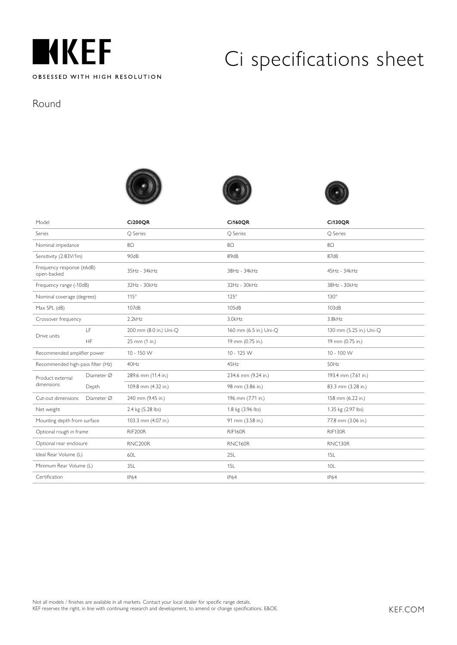

Round







| Model                                    |            | <b>Ci200OR</b>         | <b>Ci160QR</b>         | <b>Ci130QR</b>          |  |
|------------------------------------------|------------|------------------------|------------------------|-------------------------|--|
| Series                                   |            | <b>Q</b> Series        | Q Series               | O Series                |  |
| Nominal impedance                        |            | $8\Omega$              | $8\Omega$              | $8\Omega$               |  |
| Sensitivity (2.83V/1m)                   |            | 90dB                   | 89dB                   | 87dB                    |  |
| Frequency response (±6dB)<br>open-backed |            | 35Hz - 34kHz           | 38Hz - 34kHz           | 45Hz - 34kHz            |  |
| Frequency range (-10dB)                  |            | 32Hz - 30kHz           | 32Hz - 30kHz           | 38Hz - 30kHz            |  |
| Nominal coverage (degrees)               |            | $115^\circ$            | $125^\circ$            | $130^\circ$             |  |
| Max SPL (dB)                             |            | 107dB                  | 105dB                  | 103dB                   |  |
| Crossover frequency                      |            | 2.2kHz                 | 3.0kHz                 | 3.8kHz                  |  |
| Drive units                              | LF         | 200 mm (8.0 in.) Uni-Q | 160 mm (6.5 in.) Uni-Q | 130 mm (5.25 in.) Uni-Q |  |
|                                          | <b>HF</b>  | 25 mm (1 in.)          | 19 mm (0.75 in.)       | 19 mm (0.75 in.)        |  |
| Recommended amplifier power              |            | 10 - 150 W             | 10 - 125 W             | 10 - 100 W              |  |
| Recommended high-pass filter (Hz)        |            | 40Hz                   | 45Hz                   | 50Hz                    |  |
| Product external                         | Diameter Ø | 289.6 mm (11.4 in.)    | 234.6 mm (9.24 in.)    | 193.4 mm (7.61 in.)     |  |
| dimensions                               | Depth      | 109.8 mm (4.32 in.)    | 98 mm (3.86 in.)       | 83.3 mm (3.28 in.)      |  |
| Cut-out dimensions                       | Diameter Ø | 240 mm (9.45 in.)      | 196 mm (7.71 in.)      | 158 mm (6.22 in.)       |  |
| Net weight                               |            | 2.4 kg (5.28 lbs)      | 1.8 kg (3.96 lbs)      | 1.35 kg (2.97 lbs)      |  |
| Mounting depth from surface              |            | 103.3 mm (4.07 in.)    | 91 mm (3.58 in.)       | 77.8 mm (3.06 in.)      |  |
| Optional rough in frame                  |            | RIF200R                | <b>RIF160R</b>         | RIF130R                 |  |
| Optional rear enclosure                  |            | RNC200R                | RNC160R                | RNC130R                 |  |
| Ideal Rear Volume (L)                    |            | 60L                    | 25L                    | 15L                     |  |
| Minimum Rear Volume (L)                  |            | 35L                    | 15L                    | 10L                     |  |
| Certification                            |            | <b>IP64</b>            | <b>IP64</b>            | <b>IP64</b>             |  |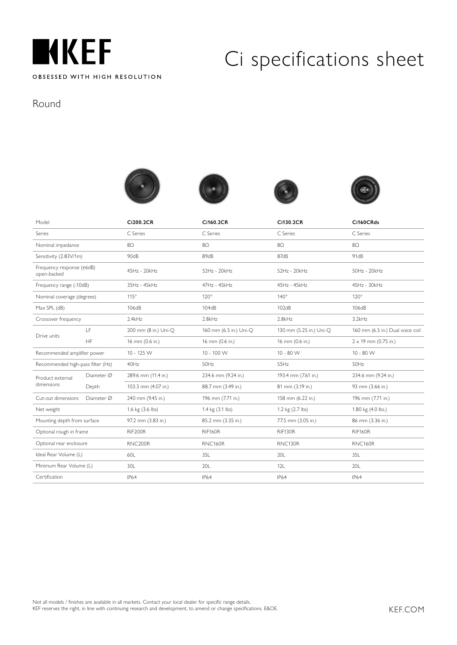

#### Round









| Model                                    |            | Ci200.2CR            | Ci160.2CR              | Ci130.2CR               | Ci160CRds                        |
|------------------------------------------|------------|----------------------|------------------------|-------------------------|----------------------------------|
| Series                                   |            | C Series             | C Series               | C Series                | C Series                         |
| Nominal impedance                        |            | $8\Omega$            | $8\Omega$              | $8\Omega$               | $8\Omega$                        |
| Sensitivity (2.83V/1m)                   |            | 90dB                 | 89dB                   | 87dB                    | 91dB                             |
| Frequency response (±6dB)<br>open-backed |            | 45Hz - 20kHz         | 52Hz - 20kHz           | 52Hz - 20kHz            | 50Hz - 20kHz                     |
| Frequency range (-10dB)                  |            | 35Hz - 45kHz         | 47Hz - 45kHz           | 45Hz - 45kHz            | 45Hz - 30kHz                     |
| Nominal coverage (degrees)               |            | $115^\circ$          | $120^\circ$            | $140^\circ$             | $120^\circ$                      |
| Max SPL (dB)                             |            | 106dB                | 104dB                  | 102dB                   | 106dB                            |
| Crossover frequency                      |            | 2.4kHz               | 2.8kHz                 | 2.8kHz                  | 3.2kHz                           |
|                                          | LF         | 200 mm (8 in.) Uni-O | 160 mm (6.5 in.) Uni-O | 130 mm (5.25 in.) Uni-O | 160 mm (6.5 in.) Dual voice coil |
| Drive units                              | HF         | 16 mm (0.6 in.)      | 16 mm (0.6 in.)        | 16 mm (0.6 in.)         | $2 \times 19$ mm (0.75 in.)      |
| Recommended amplifier power              |            | 10 - 125 W           | $10 - 100$ W           | $10 - 80 W$             | $10 - 80$ W                      |
| Recommended high-pass filter (Hz)        |            | 40Hz                 | 50Hz                   | 55Hz                    | 50Hz                             |
| Product external                         | Diameter Ø | 289.6 mm (11.4 in.)  | 234.6 mm (9.24 in.)    | 193.4 mm (7.61 in.)     | 234.6 mm (9.24 in.)              |
| dimensions                               | Depth      | 103.3 mm (4.07 in.)  | 88.7 mm (3.49 in.)     | 81 mm (3.19 in.)        | 93 mm (3.66 in.)                 |
| Cut-out dimensions                       | Diameter Ø | 240 mm (9.45 in.)    | 196 mm (7.71 in.)      | 158 mm (6.22 in.)       | 196 mm (7.71 in.)                |
| Net weight                               |            | 1.6 kg (3.6 lbs)     | 1.4 kg (3.1 lbs)       | 1.2 kg (2.7 lbs)        | 1.80 kg (4.0 lbs.)               |
| Mounting depth from surface              |            | 97.2 mm (3.83 in.)   | 85.2 mm (3.35 in.)     | 77.5 mm (3.05 in.)      | 86 mm (3.36 in.)                 |
| Optional rough in frame                  |            | RIF200R              | <b>RIF160R</b>         | RIF130R                 | RIF160R                          |
| Optional rear enclosure                  |            | RNC200R              | <b>RNC160R</b>         | RNC130R                 | RNC160R                          |
| Ideal Rear Volume (L)                    |            | 60L                  | 35L                    | 20L                     | 35L                              |
| Minimum Rear Volume (L)                  |            | 30L                  | 20L                    | 12L                     | 20L                              |
| Certification                            |            | IP64                 | <b>IP64</b>            | <b>IP64</b>             | <b>IP64</b>                      |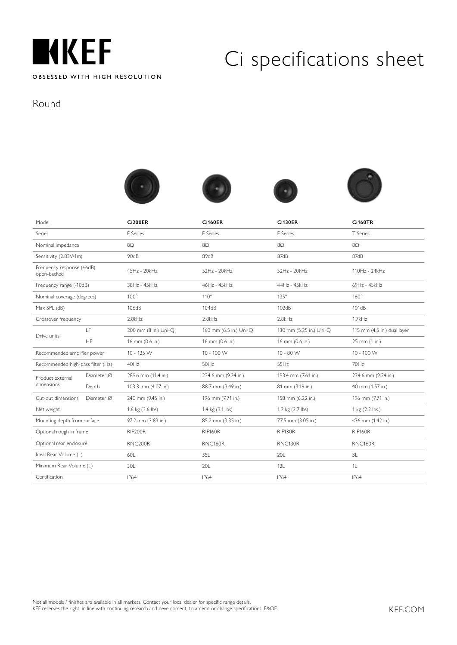

#### Round









| Model                                    |                    | <b>Ci200ER</b>       | <b>Ci160ER</b>         | <b>Ci130ER</b>          | <b>Ci160TR</b>              |
|------------------------------------------|--------------------|----------------------|------------------------|-------------------------|-----------------------------|
| Series                                   |                    | E Series             | E Series               | E Series                | T Series                    |
| Nominal impedance                        |                    | $8\Omega$            | $8\Omega$              | $8\Omega$               | $8\Omega$                   |
| Sensitivity (2.83V/1m)                   |                    | 90dB                 | 89dB                   | 87dB                    | 87dB                        |
| Frequency response (±6dB)<br>open-backed |                    | 45Hz - 20kHz         | 52Hz - 20kHz           | 52Hz - 20kHz            | 110Hz - 24kHz               |
| Frequency range (-10dB)                  |                    | 38Hz - 45kHz         | 46Hz - 45kHz           | 44Hz - 45kHz            | 69Hz - 45kHz                |
| Nominal coverage (degrees)               |                    | $100^\circ$          | $110^\circ$            | $135^\circ$             | $160^\circ$                 |
| Max SPL (dB)                             |                    | 106dB                | 104dB                  | 102dB                   | 101dB                       |
| Crossover frequency                      |                    | 2.8kHz               | 2.8kHz                 | 2.8kHz                  | 1.7kHz                      |
|                                          | LF                 | 200 mm (8 in.) Uni-O | 160 mm (6.5 in.) Uni-O | 130 mm (5.25 in.) Uni-O | 115 mm (4.5 in.) dual layer |
| Drive units                              | <b>HF</b>          | 16 mm (0.6 in.)      | 16 mm (0.6 in.)        | 16 mm (0.6 in.)         | 25 mm (1 in.)               |
| Recommended amplifier power              |                    | 10 - 125 W           | 10 - 100 W             | $10 - 80$ W             | 10 - 100 W                  |
| Recommended high-pass filter (Hz)        |                    | 40Hz                 | 50Hz                   | 55Hz                    | 70Hz                        |
| Product external                         | $Diameter \oslash$ | 289.6 mm (11.4 in.)  | 234.6 mm (9.24 in.)    | 193.4 mm (7.61 in.)     | 234.6 mm (9.24 in.)         |
| dimensions                               | Depth              | 103.3 mm (4.07 in.)  | 88.7 mm (3.49 in.)     | 81 mm (3.19 in.)        | 40 mm (1.57 in.)            |
| Cut-out dimensions                       | Diameter Ø         | 240 mm (9.45 in.)    | 196 mm (7.71 in.)      | 158 mm (6.22 in.)       | 196 mm (7.71 in.)           |
| Net weight                               |                    | 1.6 kg (3.6 lbs)     | 1.4 kg (3.1 lbs)       | 1.2 kg (2.7 lbs)        | 1 kg (2.2 lbs.)             |
| Mounting depth from surface              |                    | 97.2 mm (3.83 in.)   | 85.2 mm (3.35 in.)     | 77.5 mm (3.05 in.)      | <36 mm (1.42 in.)           |
| Optional rough in frame                  |                    | RIF200R              | <b>RIF160R</b>         | RIF130R                 | RIF160R                     |
| Optional rear enclosure                  |                    | RNC200R              | RNC160R                | RNC130R                 | <b>RNC160R</b>              |
| Ideal Rear Volume (L)                    |                    | 60L                  | 35L                    | 20L                     | 3L                          |
| Minimum Rear Volume (L)                  |                    | 30L                  | 20L                    | 12L                     | 1L                          |
| Certification                            |                    | IP64                 | IP64                   | <b>IP64</b>             | <b>IP64</b>                 |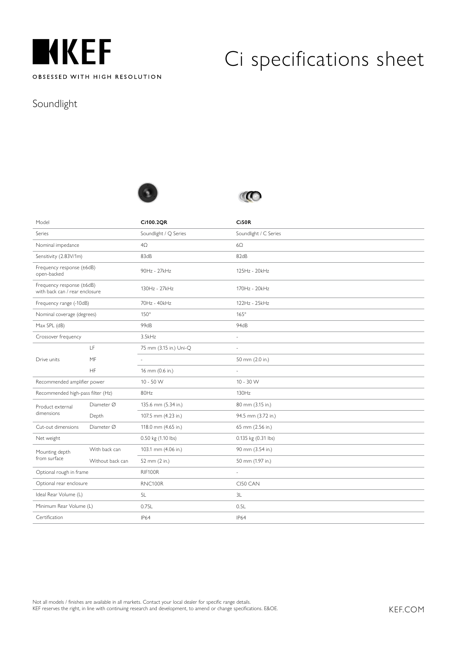

#### Soundlight





| Model                                                       |                  | Ci100.2QR              | <b>Ci50R</b>          |
|-------------------------------------------------------------|------------------|------------------------|-----------------------|
| Series                                                      |                  | Soundlight / Q Series  | Soundlight / C Series |
| Nominal impedance                                           |                  | $4\Omega$              | $6\Omega$             |
| Sensitivity (2.83V/1m)                                      |                  | 83dB                   | 82dB                  |
| Frequency response (±6dB)<br>open-backed                    |                  | 90Hz - 27kHz           | 125Hz - 20kHz         |
| Frequency response (±6dB)<br>with back can / rear enclosure |                  | 130Hz - 27kHz          | 170Hz - 20kHz         |
| Frequency range (-10dB)                                     |                  | 70Hz - 40kHz           | 122Hz - 25kHz         |
| Nominal coverage (degrees)                                  |                  | $150^\circ$            | $165^\circ$           |
| Max SPL (dB)                                                |                  | 99dB                   | 94dB                  |
| Crossover frequency                                         |                  | 3.5kHz                 | ÷,                    |
|                                                             | LF               | 75 mm (3.15 in.) Uni-Q | ÷,                    |
| Drive units                                                 | MF               |                        | 50 mm (2.0 in.)       |
|                                                             | <b>HF</b>        | 16 mm (0.6 in.)        |                       |
| Recommended amplifier power                                 |                  | $10 - 50 W$            | $10 - 30$ W           |
| Recommended high-pass filter (Hz)                           |                  | 80Hz                   | 130Hz                 |
| Product external                                            | Diameter Ø       | 135.6 mm (5.34 in.)    | 80 mm (3.15 in.)      |
| dimensions                                                  | Depth            | 107.5 mm (4.23 in.)    | 94.5 mm (3.72 in.)    |
| Cut-out dimensions                                          | Diameter Ø       | 118.0 mm (4.65 in.)    | 65 mm (2.56 in.)      |
| Net weight                                                  |                  | 0.50 kg (1.10 lbs)     | 0.135 kg (0.31 lbs)   |
| Mounting depth                                              | With back can    | 103.1 mm (4.06 in.)    | 90 mm (3.54 in.)      |
| from surface                                                | Without back can | 52 mm (2 in.)          | 50 mm (1.97 in.)      |
| Optional rough in frame                                     |                  | RIF100R                | $\sim$                |
| Optional rear enclosure                                     |                  | RNC100R                | CI50 CAN              |
| Ideal Rear Volume (L)                                       |                  | 5L                     | 3L                    |
| Minimum Rear Volume (L)                                     |                  | 0.75L                  | 0.5L                  |
| Certification                                               |                  | <b>IP64</b>            | IP64                  |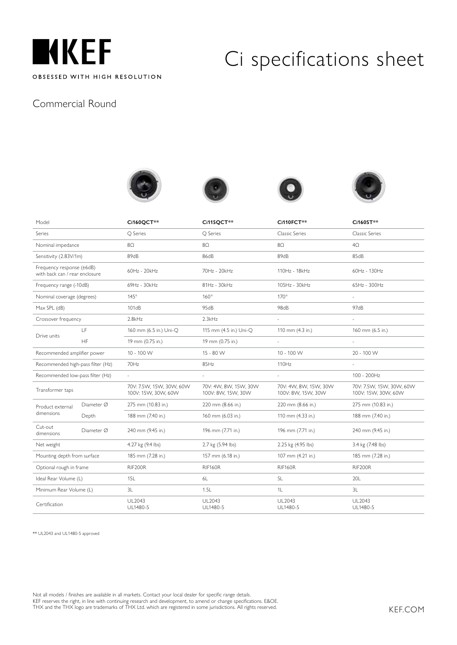

#### Commercial Round









| Model                                                       |            | Ci160QCT**                                      | <b>Ci115QCT**</b>                           | Ci110FCT**                                   | Ci160ST**                                       |
|-------------------------------------------------------------|------------|-------------------------------------------------|---------------------------------------------|----------------------------------------------|-------------------------------------------------|
| Series                                                      |            | O Series                                        | O Series                                    | Classic Series                               | Classic Series                                  |
| Nominal impedance                                           |            | 8Ω                                              | 8Ω                                          | 8Ω                                           | $4\Omega$                                       |
| Sensitivity (2.83V/1m)                                      |            | 89 <sub>dB</sub>                                | 86dB                                        | 89 <sub>dB</sub>                             | 85dB                                            |
| Frequency response (±6dB)<br>with back can / rear enclosure |            | 60Hz - 20kHz                                    | 70Hz - 20kHz                                | 110Hz - 18kHz                                | 60Hz - 130Hz                                    |
| Frequency range (-10dB)                                     |            | 69Hz - 30kHz                                    | 81Hz - 30kHz                                | 105Hz - 30kHz                                | 65Hz - 300Hz                                    |
| Nominal coverage (degrees)                                  |            | $145^\circ$                                     | $160^\circ$                                 | $170^\circ$                                  |                                                 |
| Max SPL (dB)                                                |            | 101dB                                           | 95dB                                        | 98 <sub>dB</sub>                             | 97dB                                            |
| Crossover frequency                                         |            | 2.8kHz                                          | 2.3kHz                                      | ÷,                                           | L                                               |
| Drive units                                                 | LF.        | 160 mm (6.5 in.) Uni-O                          | 115 mm (4.5 in.) Uni-O                      | 110 mm (4.3 in.)                             | 160 mm (6.5 in.)                                |
|                                                             | HF         | 19 mm (0.75 in.)                                | 19 mm (0.75 in.)                            | $\omega$                                     | $\mathcal{L}$                                   |
| Recommended amplifier power                                 |            | 10 - 100 W                                      | 15 - 80 W                                   | 10 - 100 W                                   | 20 - 100 W                                      |
| Recommended high-pass filter (Hz)                           |            | 70Hz                                            | 85Hz                                        | 110Hz                                        |                                                 |
| Recommended low-pass filter (Hz)                            |            | ÷,                                              | ÷,                                          | L.                                           | 100 - 200Hz                                     |
| Transformer taps                                            |            | 70V: 7.5W, 15W, 30W, 60W<br>100V: 15W, 30W, 60W | 70V: 4W, 8W, 15W, 30W<br>100V: 8W, 15W, 30W | 70V: 4W, 8W, 15W, 30W<br>100V: 8VV, 15W, 30W | 70V: 7.5W, 15W, 30W, 60W<br>100V: 15W, 30W, 60W |
| Product external<br>dimensions                              | Diameter Ø | 275 mm (10.83 in.)                              | 220 mm (8.66 in.)                           | 220 mm (8.66 in.)                            | 275 mm (10.83 in.)                              |
|                                                             | Depth      | 188 mm (7.40 in.)                               | 160 mm (6.03 in.)                           | 110 mm (4.33 in.)                            | 188 mm (7.40 in.)                               |
| Cut-out<br>dimensions                                       | Diameter Ø | 240 mm (9.45 in.)                               | 196 mm (7.71 in.)                           | 196 mm (7.71 in.)                            | 240 mm (9.45 in.)                               |
| Net weight                                                  |            | 4.27 kg (9.4 lbs)                               | 2.7 kg (5.94 lbs)                           | 2.25 kg (4.95 lbs)                           | 3.4 kg (7.48 lbs)                               |
| Mounting depth from surface                                 |            | 185 mm (7.28 in.)                               | 157 mm (6.18 in.)                           | 107 mm (4.21 in.)                            | 185 mm (7.28 in.)                               |
| Optional rough in frame                                     |            | RIF200R                                         | RIF160R                                     | RIF160R                                      | RIF200R                                         |
| Ideal Rear Volume (L)                                       |            | 15L                                             | 6L                                          | 5L                                           | 20L                                             |
| Minimum Rear Volume (L)                                     |            | 3L                                              | 1.5L                                        | 1L                                           | 3L                                              |
| Certification                                               |            | UL2043<br>UL1480-5                              | UL2043<br>UL1480-5                          | UL2043<br>UL1480-5                           | <b>UL2043</b><br>UL1480-5                       |

\*\* UL2043 and UL1480-5 approved

Not all models / finishes are available in all markets. Contact your local dealer for specific range details.

KEF reserves the right, in line with continuing research and development, to amend or change specifications. E&OE. THX and the THX logo are trademarks of THX Ltd. which are registered in some jurisdictions. All rights reserved.